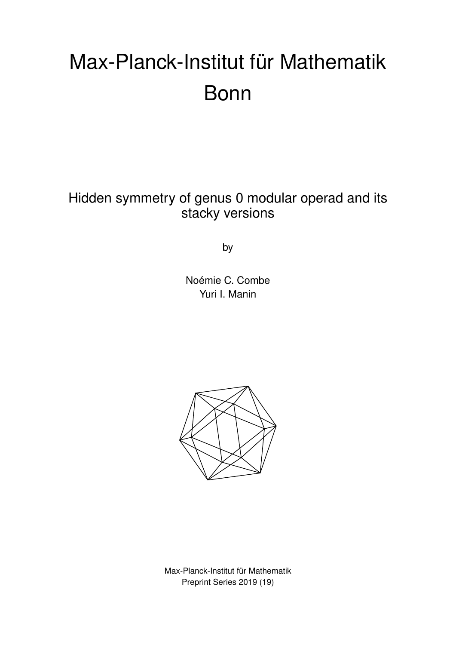# Max-Planck-Institut für Mathematik Bonn

Hidden symmetry of genus 0 modular operad and its stacky versions

by

Noémie C. Combe Yuri I. Manin



Max-Planck-Institut für Mathematik Preprint Series 2019 (19)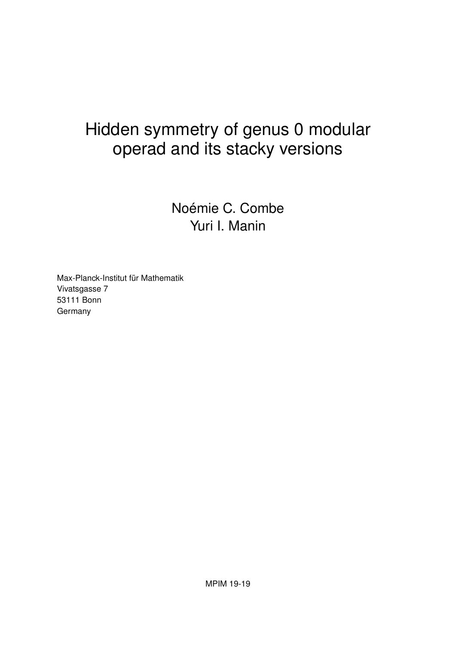# Hidden symmetry of genus 0 modular operad and its stacky versions

Noémie C. Combe Yuri I. Manin

Max-Planck-Institut für Mathematik Vivatsgasse 7 53111 Bonn **Germany**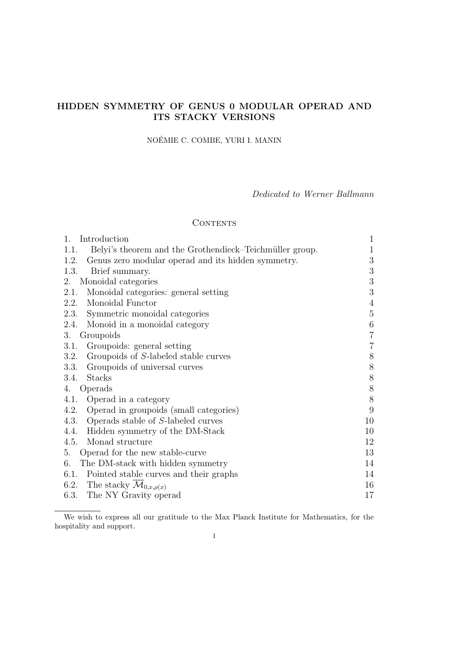# HIDDEN SYMMETRY OF GENUS 0 MODULAR OPERAD AND ITS STACKY VERSIONS

# NOEMIE C. COMBE, YURI I. MANIN ´

Dedicated to Werner Ballmann

# **CONTENTS**

| 1.<br>Introduction                                              | $\mathbf{1}$     |
|-----------------------------------------------------------------|------------------|
| Belyi's theorem and the Grothendieck–Teichmüller group.<br>1.1. | 1                |
| Genus zero modular operad and its hidden symmetry.<br>1.2.      | 3                |
| Brief summary.<br>1.3.                                          | $\boldsymbol{3}$ |
| Monoidal categories<br>2.                                       | $\sqrt{3}$       |
| Monoidal categories: general setting<br>2.1.                    | 3                |
| Monoidal Functor<br>2.2.                                        | $\overline{4}$   |
| Symmetric monoidal categories<br>2.3.                           | $\mathbf 5$      |
| Monoid in a monoidal category<br>2.4.                           | $\,6\,$          |
| Groupoids<br>3.                                                 | $\overline{7}$   |
| Groupoids: general setting<br>3.1.                              | 7                |
| Groupoids of S-labeled stable curves<br>3.2.                    | 8                |
| Groupoids of universal curves<br>3.3.                           | $8\,$            |
| <b>Stacks</b><br>3.4.                                           | $8\,$            |
| Operads<br>4.                                                   | $8\,$            |
| Operad in a category<br>4.1.                                    | 8                |
| Operad in groupoids (small categories)<br>4.2.                  | 9                |
| Operads stable of S-labeled curves<br>4.3.                      | 10               |
| Hidden symmetry of the DM-Stack<br>4.4.                         | 10               |
| Monad structure<br>4.5.                                         | 12               |
| Operad for the new stable-curve<br>5.                           | 13               |
| The DM-stack with hidden symmetry<br>6.                         | 14               |
| Pointed stable curves and their graphs<br>6.1.                  | 14               |
| 6.2. The stacky $\mathcal{M}_{0,x,\rho(x)}$                     | 16               |
| The NY Gravity operad<br>6.3.                                   | 17               |

We wish to express all our gratitude to the Max Planck Institute for Mathematics, for the hospitality and support.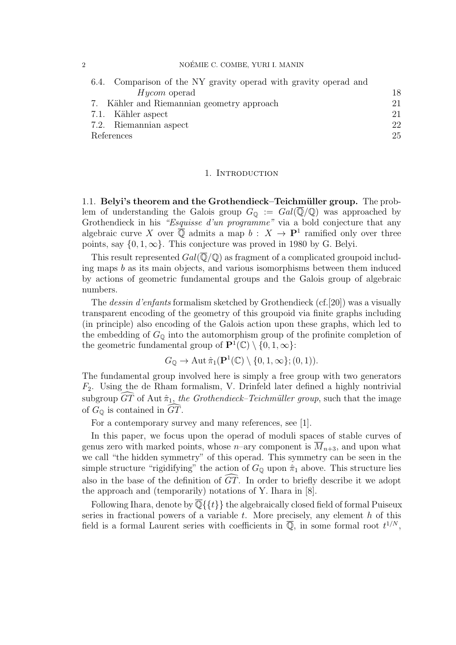#### 2 NOÉMIE C. COMBE, YURI I. MANIN

| 6.4. Comparison of the NY gravity operad with gravity operad and |    |
|------------------------------------------------------------------|----|
| <i>Hycom</i> operad                                              | 18 |
| 7. Kähler and Riemannian geometry approach                       | 21 |
| 7.1. Kähler aspect                                               | 21 |
| 7.2. Riemannian aspect                                           | 22 |
| References                                                       | 25 |

#### 1. INTRODUCTION

1.1. Belyi's theorem and the Grothendieck–Teichmüller group. The problem of understanding the Galois group  $G_{\mathbb{Q}} := Gal(\overline{\mathbb{Q}}/\mathbb{Q})$  was approached by Grothendieck in his "Esquisse d'un programme" via a bold conjecture that any algebraic curve X over  $\overline{\mathbb{Q}}$  admits a map  $b: X \to \mathbf{P}^1$  ramified only over three points, say  $\{0, 1, \infty\}$ . This conjecture was proved in 1980 by G. Belyi.

This result represented  $Gal(\overline{\mathbb{Q}}/\mathbb{Q})$  as fragment of a complicated groupoid including maps  $b$  as its main objects, and various isomorphisms between them induced by actions of geometric fundamental groups and the Galois group of algebraic numbers.

The dessin d'enfants formalism sketched by Grothendieck (cf.[20]) was a visually transparent encoding of the geometry of this groupoid via finite graphs including (in principle) also encoding of the Galois action upon these graphs, which led to the embedding of  $G_{\mathbb{Q}}$  into the automorphism group of the profinite completion of the geometric fundamental group of  $\mathbf{P}^1(\mathbb{C}) \setminus \{0, 1, \infty\}$ :

$$
G_{\mathbb{Q}} \to \operatorname{Aut} \hat{\pi}_1(\mathbf{P}^1(\mathbb{C}) \setminus \{0, 1, \infty\}; (0, 1)).
$$

The fundamental group involved here is simply a free group with two generators  $F_2$ . Using the de Rham formalism, V. Drinfeld later defined a highly nontrivial subgroup  $\widetilde{GT}$  of Aut  $\hat{\pi}_1$ , the Grothendieck–Teichmüller group, such that the image of  $G_{\mathbb{Q}}$  is contained in  $GT$ .

For a contemporary survey and many references, see [1].

In this paper, we focus upon the operad of moduli spaces of stable curves of genus zero with marked points, whose *n*–ary component is  $\overline{M}_{n+3}$ , and upon what we call "the hidden symmetry" of this operad. This symmetry can be seen in the simple structure "rigidifying" the action of  $G_{\mathbb{Q}}$  upon  $\hat{\pi}_1$  above. This structure lies also in the base of the definition of  $GT$ . In order to briefly describe it we adopt the approach and (temporarily) notations of Y. Ihara in [8].

Following Ihara, denote by  $\overline{\mathbb{Q}}\{\{t\}\}\$  the algebraically closed field of formal Puiseux series in fractional powers of a variable  $t$ . More precisely, any element  $h$  of this field is a formal Laurent series with coefficients in  $\overline{\mathbb{Q}}$ , in some formal root  $t^{1/N}$ ,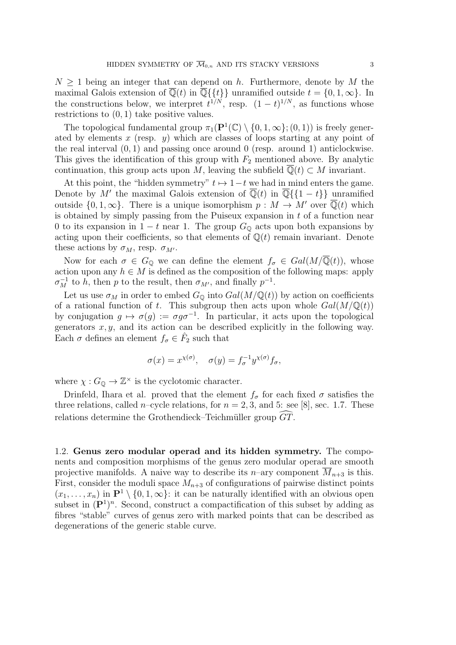$N > 1$  being an integer that can depend on h. Furthermore, denote by M the maximal Galois extension of  $\overline{\mathbb{Q}}(t)$  in  $\overline{\mathbb{Q}}\{\{t\}\}\$ unramified outside  $t = \{0, 1, \infty\}$ . In the constructions below, we interpret  $t^{1/N}$ , resp.  $(1-t)^{1/N}$ , as functions whose restrictions to (0, 1) take positive values.

The topological fundamental group  $\pi_1(\mathbf{P}^1(\mathbb{C}) \setminus \{0, 1, \infty\}; (0, 1))$  is freely generated by elements x (resp. y) which are classes of loops starting at any point of the real interval  $(0, 1)$  and passing once around 0 (resp. around 1) anticlockwise. This gives the identification of this group with  $F_2$  mentioned above. By analytic continuation, this group acts upon M, leaving the subfield  $\mathbb{Q}(t) \subset M$  invariant.

At this point, the "hidden symmetry"  $t \mapsto 1-t$  we had in mind enters the game. Denote by M' the maximal Galois extension of  $\overline{\mathbb{Q}}(t)$  in  $\overline{\mathbb{Q}}\{\{1-t\}\}\$  unramified outside  $\{0, 1, \infty\}$ . There is a unique isomorphism  $p : M \to M'$  over  $\overline{\mathbb{Q}}(t)$  which is obtained by simply passing from the Puiseux expansion in  $t$  of a function near 0 to its expansion in  $1 - t$  near 1. The group  $G_{\mathbb{Q}}$  acts upon both expansions by acting upon their coefficients, so that elements of  $\mathbb{Q}(t)$  remain invariant. Denote these actions by  $\sigma_M$ , resp.  $\sigma_{M'}$ .

Now for each  $\sigma \in G_0$  we can define the element  $f_{\sigma} \in Gal(M/\overline{\mathbb{Q}}(t)),$  whose action upon any  $h \in M$  is defined as the composition of the following maps: apply  $\sigma_M^{-1}$  to h, then p to the result, then  $\sigma_{M'}$ , and finally  $p^{-1}$ .

Let us use  $\sigma_M$  in order to embed  $G_{\mathbb{Q}}$  into  $Gal(M/\mathbb{Q}(t))$  by action on coefficients of a rational function of t. This subgroup then acts upon whole  $Gal(M/\mathbb{Q}(t))$ by conjugation  $g \mapsto \sigma(g) := \sigma g \sigma^{-1}$ . In particular, it acts upon the topological generators  $x, y$ , and its action can be described explicitly in the following way. Each  $\sigma$  defines an element  $f_{\sigma} \in \hat{F}_2$  such that

$$
\sigma(x) = x^{\chi(\sigma)}, \quad \sigma(y) = f_{\sigma}^{-1} y^{\chi(\sigma)} f_{\sigma},
$$

where  $\chi: G_{\mathbb{Q}} \to \mathbb{Z}^{\times}$  is the cyclotomic character.

Drinfeld, Ihara et al. proved that the element  $f_{\sigma}$  for each fixed  $\sigma$  satisfies the three relations, called *n*–cycle relations, for  $n = 2, 3$ , and 5: see [8], sec. 1.7. These relations determine the Grothendieck–Teichmüller group  $\widehat{GT}$ .

1.2. Genus zero modular operad and its hidden symmetry. The components and composition morphisms of the genus zero modular operad are smooth projective manifolds. A naive way to describe its n–ary component  $\overline{M}_{n+3}$  is this. First, consider the moduli space  $M_{n+3}$  of configurations of pairwise distinct points  $(x_1, \ldots, x_n)$  in  $\mathbf{P}^1 \setminus \{0, 1, \infty\}$ : it can be naturally identified with an obvious open subset in  $(P<sup>1</sup>)<sup>n</sup>$ . Second, construct a compactification of this subset by adding as fibres "stable" curves of genus zero with marked points that can be described as degenerations of the generic stable curve.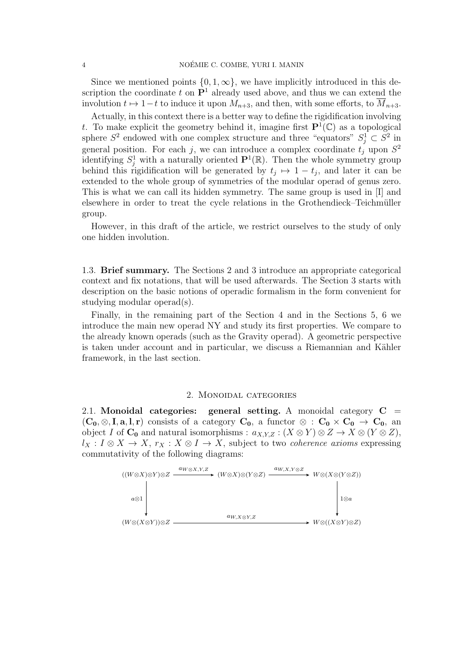Since we mentioned points  $\{0, 1, \infty\}$ , we have implicitly introduced in this description the coordinate t on  $\mathbf{P}^1$  already used above, and thus we can extend the involution  $t \mapsto 1-t$  to induce it upon  $M_{n+3}$ , and then, with some efforts, to  $\overline{M}_{n+3}$ .

Actually, in this context there is a better way to define the rigidification involving t. To make explicit the geometry behind it, imagine first  $\mathbf{P}^1(\mathbb{C})$  as a topological sphere  $S^2$  endowed with one complex structure and three "equators"  $S_j^1 \subset S^2$  in general position. For each j, we can introduce a complex coordinate  $t_j$  upon  $S^2$ identifying  $S_j^1$  with a naturally oriented  $\mathbf{P}^1(\mathbb{R})$ . Then the whole symmetry group behind this rigidification will be generated by  $t_j \mapsto 1-t_j$ , and later it can be extended to the whole group of symmetries of the modular operad of genus zero. This is what we can call its hidden symmetry. The same group is used in [I] and elsewhere in order to treat the cycle relations in the Grothendieck–Teichmüller group.

However, in this draft of the article, we restrict ourselves to the study of only one hidden involution.

1.3. Brief summary. The Sections 2 and 3 introduce an appropriate categorical context and fix notations, that will be used afterwards. The Section 3 starts with description on the basic notions of operadic formalism in the form convenient for studying modular operad(s).

Finally, in the remaining part of the Section 4 and in the Sections 5, 6 we introduce the main new operad NY and study its first properties. We compare to the already known operads (such as the Gravity operad). A geometric perspective is taken under account and in particular, we discuss a Riemannian and Kähler framework, in the last section.

#### 2. Monoidal categories

2.1. Monoidal categories: general setting. A monoidal category  $C =$  $(C_0, \otimes, I, a, l, r)$  consists of a category  $C_0$ , a functor  $\otimes : C_0 \times C_0 \to C_0$ , an object I of  $C_0$  and natural isomorphisms :  $a_{X,Y,Z} : (X \otimes Y) \otimes Z \to X \otimes (Y \otimes Z)$ ,  $l_X: I \otimes X \to X$ ,  $r_X: X \otimes I \to X$ , subject to two *coherence axioms* expressing commutativity of the following diagrams:

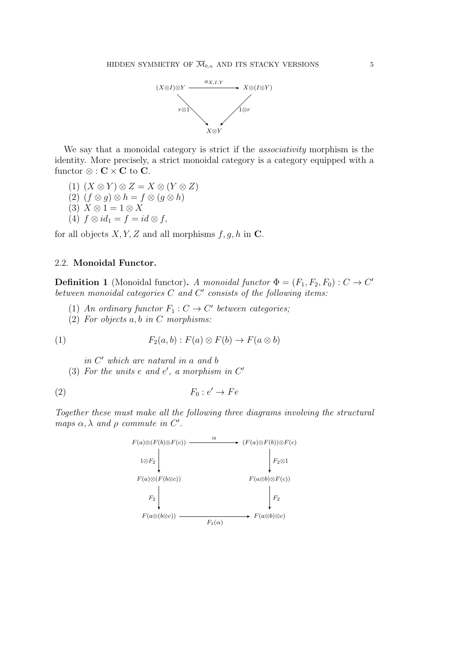

We say that a monoidal category is strict if the *associativity* morphism is the identity. More precisely, a strict monoidal category is a category equipped with a functor  $\otimes$  :  $\mathbf{C} \times \mathbf{C}$  to  $\mathbf{C}$ .

- (1)  $(X \otimes Y) \otimes Z = X \otimes (Y \otimes Z)$
- $(2)$   $(f \otimes g) \otimes h = f \otimes (g \otimes h)$
- (3)  $X \otimes 1 = 1 \otimes X$
- (4)  $f \otimes id_1 = f = id \otimes f$ ,

for all objects  $X, Y, Z$  and all morphisms  $f, g, h$  in C.

## 2.2. Monoidal Functor.

**Definition 1** (Monoidal functor). A monoidal functor  $\Phi = (F_1, F_2, F_0) : C \to C'$ between monoidal categories  $C$  and  $C'$  consists of the following items:

- (1) An ordinary functor  $F_1: C \to C'$  between categories;
- (2) For objects  $a, b$  in C morphisms:

(1) 
$$
F_2(a,b) : F(a) \otimes F(b) \to F(a \otimes b)
$$

in C' which are natural in a and b

(3) For the units  $e$  and  $e'$ , a morphism in  $C'$ 

$$
(2) \tF_0: e' \to Fe
$$

Together these must make all the following three diagrams involving the structural maps  $\alpha, \lambda$  and  $\rho$  commute in C'.

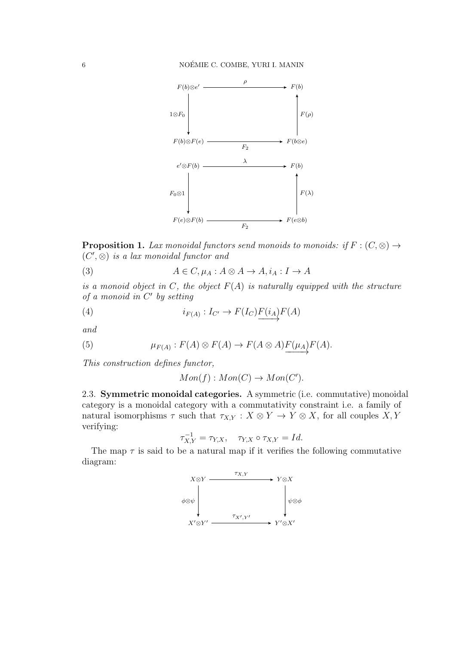

**Proposition 1.** Lax monoidal functors send monoids to monoids: if  $F : (C, \otimes) \rightarrow$  $(C', \otimes)$  is a lax monoidal functor and

(3) 
$$
A \in C, \mu_A : A \otimes A \to A, i_A : I \to A
$$

is a monoid object in C, the object  $F(A)$  is naturally equipped with the structure of a monoid in  $C'$  by setting

(4) 
$$
i_{F(A)}: I_{C'} \to F(I_C) \underbrace{F(i_A)} F(A)
$$

and

(5) 
$$
\mu_{F(A)} : F(A) \otimes F(A) \to F(A \otimes A) \underline{F(\mu_A)} F(A).
$$

This construction defines functor,

$$
Mon(f): Mon(C) \to Mon(C').
$$

2.3. Symmetric monoidal categories. A symmetric (i.e. commutative) monoidal category is a monoidal category with a commutativity constraint i.e. a family of natural isomorphisms  $\tau$  such that  $\tau_{X,Y}: X \otimes Y \to Y \otimes X$ , for all couples  $X, Y$ verifying:

$$
\tau_{X,Y}^{-1} = \tau_{Y,X}, \quad \tau_{Y,X} \circ \tau_{X,Y} = Id.
$$

The map  $\tau$  is said to be a natural map if it verifies the following commutative diagram:

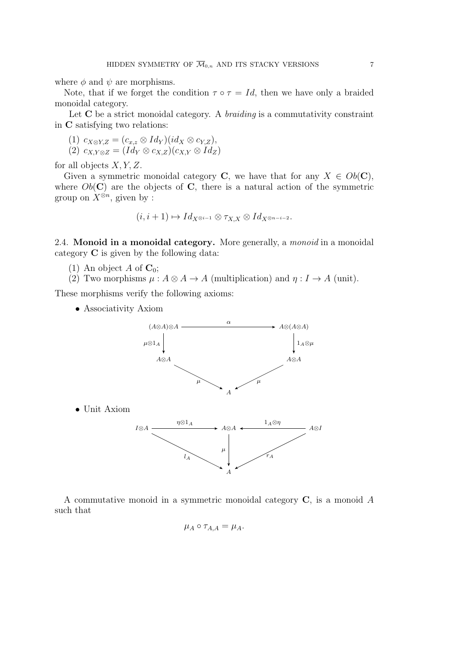where  $\phi$  and  $\psi$  are morphisms.

Note, that if we forget the condition  $\tau \circ \tau = Id$ , then we have only a braided monoidal category.

Let  $C$  be a strict monoidal category. A *braiding* is a commutativity constraint in C satisfying two relations:

(1) 
$$
c_{X \otimes Y,Z} = (c_{x,z} \otimes Id_Y)(id_X \otimes c_{Y,Z}),
$$
  
(2) 
$$
c_{X,Y \otimes Z} = (Id_Y \otimes c_{X,Z})(c_{X,Y} \otimes Id_Z)
$$

for all objects  $X, Y, Z$ .

Given a symmetric monoidal category C, we have that for any  $X \in Ob(C)$ , where  $Ob(\mathbf{C})$  are the objects of  $\mathbf{C}$ , there is a natural action of the symmetric group on  $X^{\otimes n}$ , given by :

$$
(i, i+1) \mapsto Id_{X^{\otimes i-1}} \otimes \tau_{X,X} \otimes Id_{X^{\otimes n-i-2}}.
$$

2.4. **Monoid in a monoidal category.** More generally, a *monoid* in a monoidal category C is given by the following data:

- (1) An object A of  $\mathbf{C}_0$ ;
- (2) Two morphisms  $\mu : A \otimes A \rightarrow A$  (multiplication) and  $\eta : I \rightarrow A$  (unit).

These morphisms verify the following axioms:

• Associativity Axiom



A commutative monoid in a symmetric monoidal category C, is a monoid A such that

$$
\mu_A \circ \tau_{A,A} = \mu_A.
$$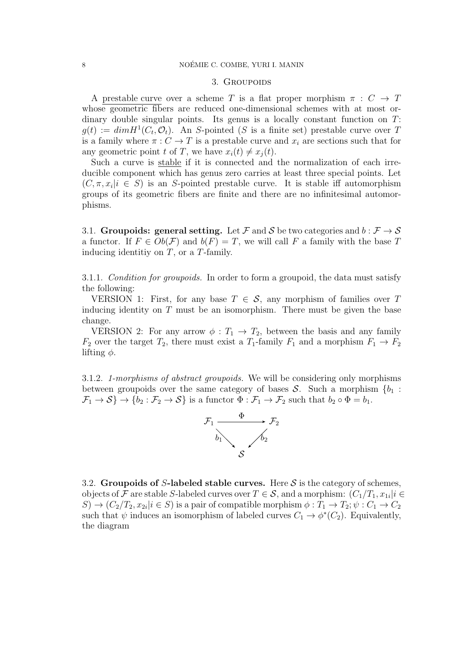#### 3. GROUPOIDS

A prestable curve over a scheme T is a flat proper morphism  $\pi : C \to T$ whose geometric fibers are reduced one-dimensional schemes with at most ordinary double singular points. Its genus is a locally constant function on  $T$ :  $g(t) := dim H<sup>1</sup>(C_t, \mathcal{O}_t)$ . An S-pointed (S is a finite set) prestable curve over T is a family where  $\pi: C \to T$  is a prestable curve and  $x_i$  are sections such that for any geometric point t of T, we have  $x_i(t) \neq x_i(t)$ .

Such a curve is stable if it is connected and the normalization of each irreducible component which has genus zero carries at least three special points. Let  $(C, \pi, x_i | i \in S)$  is an S-pointed prestable curve. It is stable iff automorphism groups of its geometric fibers are finite and there are no infinitesimal automorphisms.

3.1. Groupoids: general setting. Let F and S be two categories and  $b : \mathcal{F} \to \mathcal{S}$ a functor. If  $F \in Ob(\mathcal{F})$  and  $b(F) = T$ , we will call F a family with the base T inducing identitiy on  $T$ , or a  $T$ -family.

3.1.1. Condition for groupoids. In order to form a groupoid, the data must satisfy the following:

VERSION 1: First, for any base  $T \in \mathcal{S}$ , any morphism of families over T inducing identity on  $T$  must be an isomorphism. There must be given the base change.

VERSION 2: For any arrow  $\phi: T_1 \to T_2$ , between the basis and any family  $F_2$  over the target  $T_2$ , there must exist a  $T_1$ -family  $F_1$  and a morphism  $F_1 \rightarrow F_2$ lifting  $\phi$ .

3.1.2. 1-morphisms of abstract groupoids. We will be considering only morphisms between groupoids over the same category of bases  $S$ . Such a morphism  $\{b_1 :$  $\mathcal{F}_1 \to \mathcal{S} \to \{b_2 : \mathcal{F}_2 \to \mathcal{S}\}\$ is a functor  $\Phi : \mathcal{F}_1 \to \mathcal{F}_2$  such that  $b_2 \circ \Phi = b_1$ .



3.2. Groupoids of S-labeled stable curves. Here S is the category of schemes, objects of F are stable S-labeled curves over  $T \in \mathcal{S}$ , and a morphism:  $(C_1/T_1, x_{1i}|i \in$  $S \to (C_2/T_2, x_{2i} | i \in S)$  is a pair of compatible morphism  $\phi: T_1 \to T_2$ ;  $\psi: C_1 \to C_2$ such that  $\psi$  induces an isomorphism of labeled curves  $C_1 \to \phi^*(C_2)$ . Equivalently, the diagram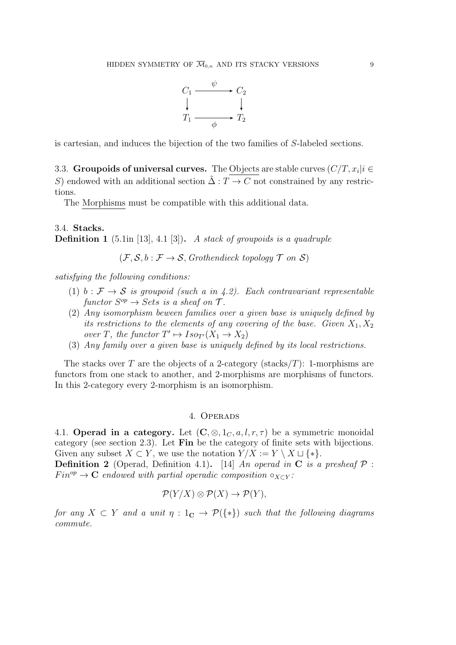

is cartesian, and induces the bijection of the two families of S-labeled sections.

3.3. Groupoids of universal curves. The Objects are stable curves  $(C/T, x_i | i \in$ S) endowed with an additional section  $\tilde{\Delta}: T \to C$  not constrained by any restrictions.

The Morphisms must be compatible with this additional data.

3.4. Stacks. **Definition 1** (5.1in [13], 4.1 [3]). A stack of groupoids is a quadruple

 $(\mathcal{F}, \mathcal{S}, b : \mathcal{F} \to \mathcal{S},$  Grothendieck topology  $\mathcal{T}$  on  $\mathcal{S}$ )

satisfying the following conditions:

- (1) b :  $\mathcal{F} \to \mathcal{S}$  is groupoid (such a in 4.2). Each contravariant representable functor  $S^{op} \to Sets$  is a sheaf on  $\mathcal{T}$ .
- (2) Any isomorphism beween families over a given base is uniquely defined by its restrictions to the elements of any covering of the base. Given  $X_1, X_2$ over T, the functor  $T' \mapsto Iso_{T'}(X_1 \to X_2)$
- (3) Any family over a given base is uniquely defined by its local restrictions.

The stacks over T are the objects of a 2-category (stacks/T): 1-morphisms are functors from one stack to another, and 2-morphisms are morphisms of functors. In this 2-category every 2-morphism is an isomorphism.

### 4. Operads

4.1. Operad in a category. Let  $(C, \otimes, 1_C, a, l, r, \tau)$  be a symmetric monoidal category (see section 2.3). Let Fin be the category of finite sets with bijections. Given any subset  $X \subset Y$ , we use the notation  $Y/X := Y \setminus X \sqcup \{*\}.$ 

**Definition 2** (Operad, Definition 4.1). [14] An operad in C is a presheaf  $P$ :  $Fin^{op} \to \mathbf{C}$  endowed with partial operadic composition  $\circ_{X\subset Y}$ :

$$
\mathcal{P}(Y/X) \otimes \mathcal{P}(X) \to \mathcal{P}(Y),
$$

for any  $X \subset Y$  and a unit  $\eta : 1_{\mathbb{C}} \to \mathcal{P}(\{*\})$  such that the following diagrams commute.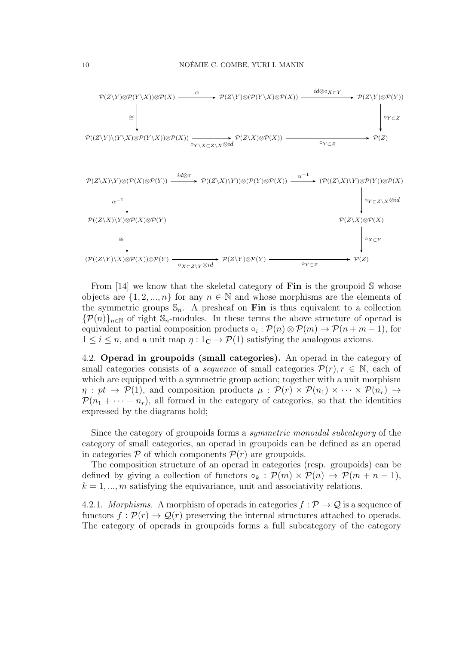

From [14] we know that the skeletal category of **Fin** is the groupoid S whose objects are  $\{1, 2, ..., n\}$  for any  $n \in \mathbb{N}$  and whose morphisms are the elements of the symmetric groups  $\mathbb{S}_n$ . A presheaf on Fin is thus equivalent to a collection  ${\mathcal{P}}(n)_{n\in\mathbb{N}}$  of right  $\mathbb{S}_n$ -modules. In these terms the above structure of operad is equivalent to partial composition products  $\circ_i : \mathcal{P}(n) \otimes \mathcal{P}(m) \to \mathcal{P}(n+m-1)$ , for  $1 \leq i \leq n$ , and a unit map  $\eta : 1_{\mathbb{C}} \to \mathcal{P}(1)$  satisfying the analogous axioms.

4.2. Operad in groupoids (small categories). An operad in the category of small categories consists of a *sequence* of small categories  $\mathcal{P}(r), r \in \mathbb{N}$ , each of which are equipped with a symmetric group action; together with a unit morphism  $\eta: pt \to \mathcal{P}(1)$ , and composition products  $\mu: \mathcal{P}(r) \times \mathcal{P}(n_1) \times \cdots \times \mathcal{P}(n_r) \to$  $\mathcal{P}(n_1 + \cdots + n_r)$ , all formed in the category of categories, so that the identities expressed by the diagrams hold;

Since the category of groupoids forms a symmetric monoidal subcategory of the category of small categories, an operad in groupoids can be defined as an operad in categories  $P$  of which components  $P(r)$  are groupoids.

The composition structure of an operad in categories (resp. groupoids) can be defined by giving a collection of functors  $\circ_k : \mathcal{P}(m) \times \mathcal{P}(n) \rightarrow \mathcal{P}(m+n-1)$ ,  $k = 1, \ldots, m$  satisfying the equivariance, unit and associativity relations.

4.2.1. *Morphisms.* A morphism of operads in categories  $f : \mathcal{P} \to \mathcal{Q}$  is a sequence of functors  $f: \mathcal{P}(r) \to \mathcal{Q}(r)$  preserving the internal structures attached to operads. The category of operads in groupoids forms a full subcategory of the category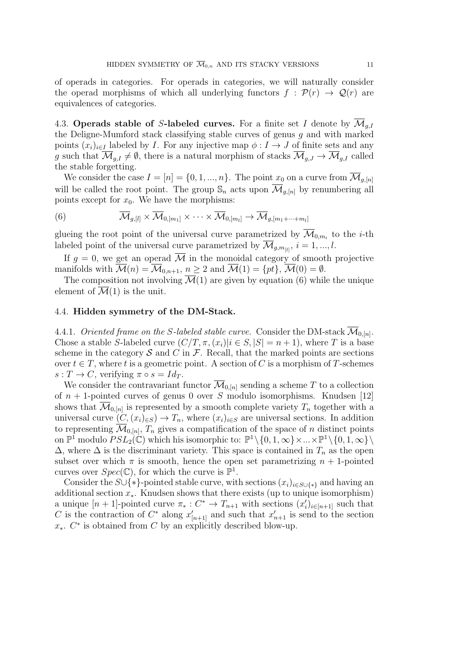of operads in categories. For operads in categories, we will naturally consider the operad morphisms of which all underlying functors  $f : \mathcal{P}(r) \to \mathcal{Q}(r)$  are equivalences of categories.

4.3. Operads stable of S-labeled curves. For a finite set I denote by  $\overline{\mathcal{M}}_{q,I}$ the Deligne-Mumford stack classifying stable curves of genus  $q$  and with marked points  $(x_i)_{i\in I}$  labeled by I. For any injective map  $\phi: I \to J$  of finite sets and any g such that  $\overline{\mathcal{M}}_{q,I} \neq \emptyset$ , there is a natural morphism of stacks  $\overline{\mathcal{M}}_{q,J} \to \overline{\mathcal{M}}_{q,I}$  called the stable forgetting.

We consider the case  $I = [n] = \{0, 1, ..., n\}$ . The point  $x_0$  on a curve from  $\overline{\mathcal{M}}_{g,[n]}$ will be called the root point. The group  $\mathcal{S}_n$  acts upon  $\overline{\mathcal{M}}_{q,[n]}$  by renumbering all points except for  $x_0$ . We have the morphisms:

(6) 
$$
\overline{\mathcal{M}}_{g,[l]} \times \overline{\mathcal{M}}_{0,[m_1]} \times \cdots \times \overline{\mathcal{M}}_{0,[m_l]} \to \overline{\mathcal{M}}_{g,[m_1+\cdots+m_l]}
$$

glueing the root point of the universal curve parametrized by  $\mathcal{M}_{0,m_i}$  to the *i*-th labeled point of the universal curve parametrized by  $\overline{\mathcal{M}}_{g,m_{[l]}}$ ,  $i = 1, ..., l$ .

If  $g = 0$ , we get an operad M in the monoidal category of smooth projective manifolds with  $\mathcal{M}(n) = \mathcal{M}_{0,n+1}, n \geq 2$  and  $\overline{\mathcal{M}}(1) = \{pt\}, \overline{\mathcal{M}}(0) = \emptyset$ .

The composition not involving  $\overline{\mathcal{M}}(1)$  are given by equation (6) while the unique element of  $\overline{\mathcal{M}}(1)$  is the unit.

#### 4.4. Hidden symmetry of the DM-Stack.

4.4.1. Oriented frame on the S-labeled stable curve. Consider the DM-stack  $\mathcal{M}_{0,[n]}.$ Chose a stable S-labeled curve  $(C/T, \pi, (x_i)|i \in S, |S| = n + 1)$ , where T is a base scheme in the category  $\mathcal S$  and  $C$  in  $\mathcal F$ . Recall, that the marked points are sections over  $t \in T$ , where t is a geometric point. A section of C is a morphism of T-schemes  $s: T \to C$ , verifying  $\pi \circ s = Id_T$ .

We consider the contravariant functor  $\overline{\mathcal{M}}_{0,[n]}$  sending a scheme T to a collection of  $n + 1$ -pointed curves of genus 0 over S modulo isomorphisms. Knudsen [12] shows that  $\mathcal{M}_{0,[n]}$  is represented by a smooth complete variety  $T_n$  together with a universal curve  $(C,(x_i)_{\in S}) \to T_n$ , where  $(x_i)_{i\in S}$  are universal sections. In addition to representing  $\mathcal{M}_{0,[n]}, T_n$  gives a compatification of the space of n distinct points on  $\mathbb{P}^1$  modulo  $PSL_2(\mathbb{C})$  which his isomorphic to:  $\mathbb{P}^1 \setminus \{0, 1, \infty\} \times ... \times \mathbb{P}^1 \setminus \{0, 1, \infty\} \setminus$  $\Delta$ , where  $\Delta$  is the discriminant variety. This space is contained in  $T_n$  as the open subset over which  $\pi$  is smooth, hence the open set parametrizing  $n + 1$ -pointed curves over  $Spec(\mathbb{C})$ , for which the curve is  $\mathbb{P}^1$ .

Consider the  $S\cup\{*\}$ -pointed stable curve, with sections  $(x_i)_{i\in S\cup\{*\}}$  and having an additional section  $x_{\ast}$ . Knudsen shows that there exists (up to unique isomorphism) a unique  $[n+1]$ -pointed curve  $\pi_* : C^* \to T_{n+1}$  with sections  $(x_i')_{i \in [n+1]}$  such that C is the contraction of  $C^*$  along  $x'_{[n+1]}$  and such that  $x'_{n+1}$  is send to the section  $x_*$ .  $C^*$  is obtained from C by an explicitly described blow-up.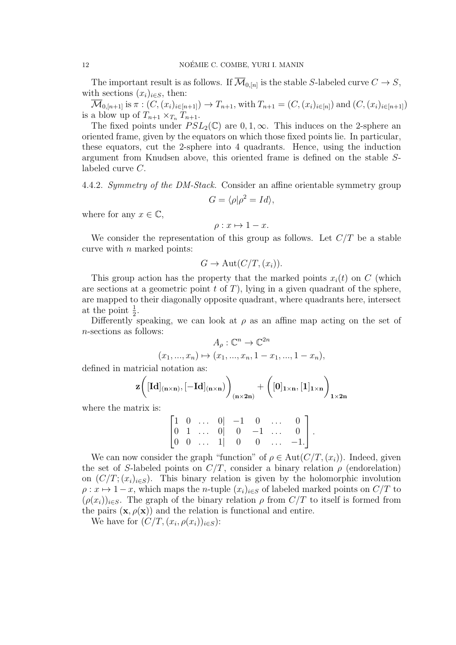The important result is as follows. If  $\mathcal{M}_{0,[n]}$  is the stable S-labeled curve  $C \to S$ , with sections  $(x_i)_{i\in S}$ , then:

 $\overline{\mathcal{M}}_{0,[n+1]}$  is  $\pi: (C,(x_i)_{i\in[n+1]}) \to T_{n+1}$ , with  $T_{n+1} = (C,(x_i)_{i\in[n]})$  and  $(C,(x_i)_{i\in[n+1]})$ is a blow up of  $T_{n+1} \times_{T_n} T_{n+1}$ .

The fixed points under  $PSL_2(\mathbb{C})$  are 0, 1,  $\infty$ . This induces on the 2-sphere an oriented frame, given by the equators on which those fixed points lie. In particular, these equators, cut the 2-sphere into 4 quadrants. Hence, using the induction argument from Knudsen above, this oriented frame is defined on the stable Slabeled curve C.

4.4.2. Symmetry of the DM-Stack. Consider an affine orientable symmetry group

$$
G = \langle \rho | \rho^2 = Id \rangle,
$$

where for any  $x \in \mathbb{C}$ ,

$$
\rho: x \mapsto 1 - x.
$$

We consider the representation of this group as follows. Let  $C/T$  be a stable curve with  $n$  marked points:

$$
G \to \mathrm{Aut}(C/T,(x_i)).
$$

This group action has the property that the marked points  $x_i(t)$  on C (which are sections at a geometric point  $t$  of  $T$ ), lying in a given quadrant of the sphere, are mapped to their diagonally opposite quadrant, where quadrants here, intersect at the point  $\frac{1}{2}$ .

Differently speaking, we can look at  $\rho$  as an affine map acting on the set of n-sections as follows:

$$
A_{\rho}: \mathbb{C}^{n} \to \mathbb{C}^{2n}
$$

$$
(x_{1},...,x_{n}) \mapsto (x_{1},...,x_{n}, 1 - x_{1},...,1 - x_{n}),
$$

defined in matricial notation as:

$$
\mathbf{z}\bigg([\mathbf{Id}]_{(n\times n)},[-\mathbf{Id}]_{(n\times n)}\bigg)_{(n\times 2n)}+\bigg([0]_{1\times n},[1]_{1\times n}\bigg)_{1\times 2n}
$$

where the matrix is:

$$
\begin{bmatrix} 1 & 0 & \dots & 0 & -1 & 0 & \dots & 0 \\ 0 & 1 & \dots & 0 & 0 & -1 & \dots & 0 \\ 0 & 0 & \dots & 1 & 0 & 0 & \dots & -1 \end{bmatrix}.
$$

We can now consider the graph "function" of  $\rho \in \text{Aut}(C/T,(x_i))$ . Indeed, given the set of S-labeled points on  $C/T$ , consider a binary relation  $\rho$  (endorelation) on  $(C/T; (x_i)_{i\in S})$ . This binary relation is given by the holomorphic involution  $\rho: x \mapsto 1-x$ , which maps the *n*-tuple  $(x_i)_{i\in S}$  of labeled marked points on  $C/T$  to  $(\rho(x_i))_{i\in S}$ . The graph of the binary relation  $\rho$  from  $C/T$  to itself is formed from the pairs  $(\mathbf{x}, \rho(\mathbf{x}))$  and the relation is functional and entire.

We have for  $(C/T, (x_i, \rho(x_i))_{i \in S})$ :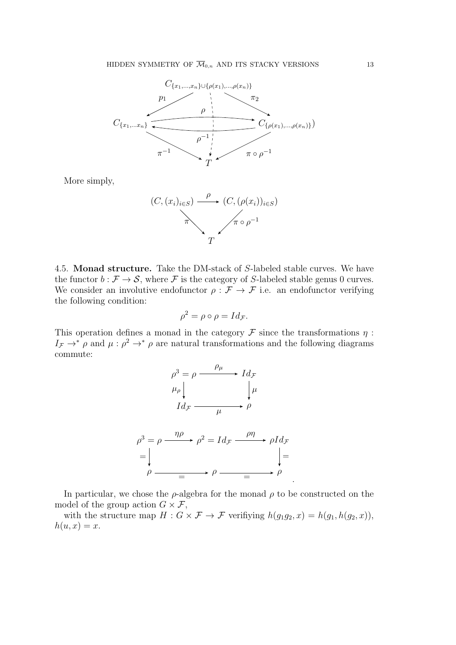

More simply,



4.5. Monad structure. Take the DM-stack of S-labeled stable curves. We have the functor  $b : \mathcal{F} \to \mathcal{S}$ , where  $\mathcal{F}$  is the category of S-labeled stable genus 0 curves. We consider an involutive endofunctor  $\rho : \mathcal{F} \to \mathcal{F}$  i.e. an endofunctor verifying the following condition:

$$
\rho^2 = \rho \circ \rho = Id_{\mathcal{F}}.
$$

This operation defines a monad in the category  $\mathcal F$  since the transformations  $\eta$ :  $I_{\mathcal{F}} \to^* \rho$  and  $\mu : \rho^2 \to^* \rho$  are natural transformations and the following diagrams commute:



In particular, we chose the  $\rho$ -algebra for the monad  $\rho$  to be constructed on the model of the group action  $G \times \mathcal{F}$ ,

with the structure map  $H: G \times \mathcal{F} \to \mathcal{F}$  verifiying  $h(g_1g_2, x) = h(g_1, h(g_2, x)),$  $h(u, x) = x.$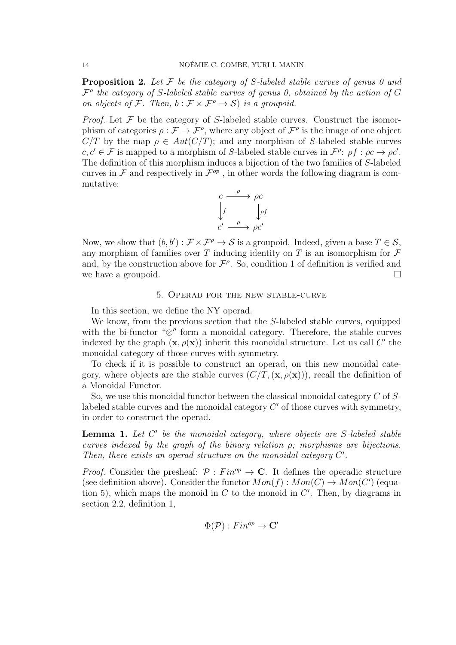**Proposition 2.** Let  $\mathcal F$  be the category of S-labeled stable curves of genus 0 and  $\mathcal{F}^{\rho}$  the category of S-labeled stable curves of genus 0, obtained by the action of G on objects of F. Then,  $b : \mathcal{F} \times \mathcal{F}^{\rho} \to \mathcal{S}$  is a groupoid.

*Proof.* Let  $\mathcal F$  be the category of S-labeled stable curves. Construct the isomorphism of categories  $\rho : \mathcal{F} \to \mathcal{F}^{\rho}$ , where any object of  $\mathcal{F}^{\rho}$  is the image of one object  $C/T$  by the map  $\rho \in Aut(C/T)$ ; and any morphism of S-labeled stable curves  $c, c' \in \mathcal{F}$  is mapped to a morphism of S-labeled stable curves in  $\mathcal{F}^{\rho}$ :  $\rho f : \rho c \to \rho c'$ . The definition of this morphism induces a bijection of the two families of S-labeled curves in  $\mathcal F$  and respectively in  $\mathcal F^{op}$ , in other words the following diagram is commutative:



Now, we show that  $(b, b') : \mathcal{F} \times \mathcal{F}^{\rho} \to \mathcal{S}$  is a groupoid. Indeed, given a base  $T \in \mathcal{S}$ , any morphism of families over  $T$  inducing identity on  $T$  is an isomorphism for  $\mathcal F$ and, by the construction above for  $\mathcal{F}^{\rho}$ . So, condition 1 of definition is verified and we have a groupoid.  $\square$ 

#### 5. Operad for the new stable-curve

In this section, we define the NY operad.

We know, from the previous section that the S-labeled stable curves, equipped with the bi-functor " $\otimes$ " form a monoidal category. Therefore, the stable curves indexed by the graph  $(\mathbf{x}, \rho(\mathbf{x}))$  inherit this monoidal structure. Let us call C' the monoidal category of those curves with symmetry.

To check if it is possible to construct an operad, on this new monoidal category, where objects are the stable curves  $(C/T, (\mathbf{x}, \rho(\mathbf{x})))$ , recall the definition of a Monoidal Functor.

So, we use this monoidal functor between the classical monoidal category C of Slabeled stable curves and the monoidal category  $C'$  of those curves with symmetry, in order to construct the operad.

**Lemma 1.** Let  $C'$  be the monoidal category, where objects are S-labeled stable curves indexed by the graph of the binary relation  $\rho$ ; morphisms are bijections. Then, there exists an operad structure on the monoidal category  $C'$ .

*Proof.* Consider the presheaf:  $\mathcal{P}: Fin^{op} \to \mathbb{C}$ . It defines the operadic structure (see definition above). Consider the functor  $Mon(f): Mon(C) \to Mon(C')$  (equation 5), which maps the monoid in  $C$  to the monoid in  $C'$ . Then, by diagrams in section 2.2, definition 1,

$$
\Phi(\mathcal{P}): Fin^{op} \to \mathbf{C}'
$$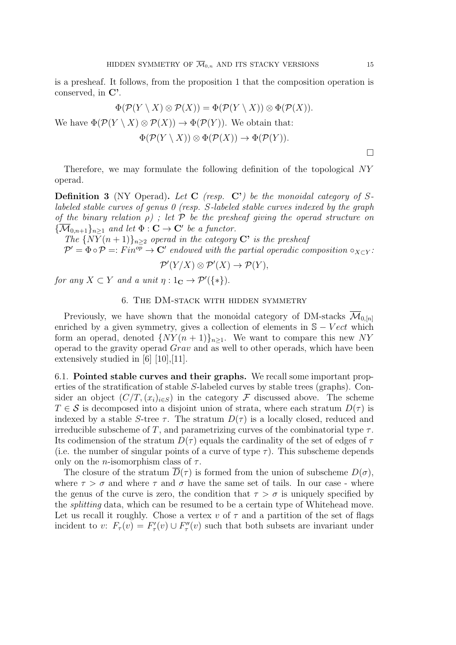is a presheaf. It follows, from the proposition 1 that the composition operation is conserved, in C'.

$$
\Phi(\mathcal{P}(Y \setminus X) \otimes \mathcal{P}(X)) = \Phi(\mathcal{P}(Y \setminus X)) \otimes \Phi(\mathcal{P}(X)).
$$

We have  $\Phi(\mathcal{P}(Y \setminus X) \otimes \mathcal{P}(X)) \to \Phi(\mathcal{P}(Y))$ . We obtain that:

$$
\Phi(\mathcal{P}(Y \setminus X)) \otimes \Phi(\mathcal{P}(X)) \to \Phi(\mathcal{P}(Y)).
$$

 $\Box$ 

Therefore, we may formulate the following definition of the topological NY operad.

**Definition 3** (NY Operad). Let  $C$  (resp.  $C'$ ) be the monoidal category of Slabeled stable curves of genus  $\theta$  (resp. S-labeled stable curves indexed by the graph of the binary relation  $\rho$ ); let  $\mathcal P$  be the presheaf giving the operad structure on  ${\{\overline{\mathcal{M}}_{0,n+1}\}}_{n\geq 1}$  and let  $\Phi: \mathbf{C} \to \mathbf{C}'$  be a functor.

The  $\{N\bar{Y}(n+1)\}_{n\geq 2}$  operad in the category C' is the presheaf  $\mathcal{P}'=\Phi\circ\mathcal{P}=:Fin^{op}\to\mathbf{C}'$  endowed with the partial operadic composition  $\circ_{X\subset Y}$ :

$$
\mathcal{P}'(Y/X) \otimes \mathcal{P}'(X) \to \mathcal{P}(Y),
$$

for any  $X \subset Y$  and a unit  $\eta : 1_{\mathbf{C}} \to \mathcal{P}'(\{*\}).$ 

#### 6. The DM-stack with hidden symmetry

Previously, we have shown that the monoidal category of DM-stacks  $\mathcal{M}_{0,[n]}$ enriched by a given symmetry, gives a collection of elements in  $S - Vect$  which form an operad, denoted  $\{NY(n+1)\}_{n\geq 1}$ . We want to compare this new NY operad to the gravity operad Grav and as well to other operads, which have been extensively studied in [6] [10],[11].

6.1. Pointed stable curves and their graphs. We recall some important properties of the stratification of stable S-labeled curves by stable trees (graphs). Consider an object  $(C/T, (x_i)_{i \in S})$  in the category F discussed above. The scheme  $T \in \mathcal{S}$  is decomposed into a disjoint union of strata, where each stratum  $D(\tau)$  is indexed by a stable S-tree  $\tau$ . The stratum  $D(\tau)$  is a locally closed, reduced and irreducible subscheme of T, and parametrizing curves of the combinatorial type  $\tau$ . Its codimension of the stratum  $D(\tau)$  equals the cardinality of the set of edges of  $\tau$ (i.e. the number of singular points of a curve of type  $\tau$ ). This subscheme depends only on the *n*-isomorphism class of  $\tau$ .

The closure of the stratum  $\overline{D}(\tau)$  is formed from the union of subscheme  $D(\sigma)$ , where  $\tau > \sigma$  and where  $\tau$  and  $\sigma$  have the same set of tails. In our case - where the genus of the curve is zero, the condition that  $\tau > \sigma$  is uniquely specified by the splitting data, which can be resumed to be a certain type of Whitehead move. Let us recall it roughly. Chose a vertex v of  $\tau$  and a partition of the set of flags incident to v:  $F_{\tau}(v) = F'_{\tau}(v) \cup F''_{\tau}(v)$  such that both subsets are invariant under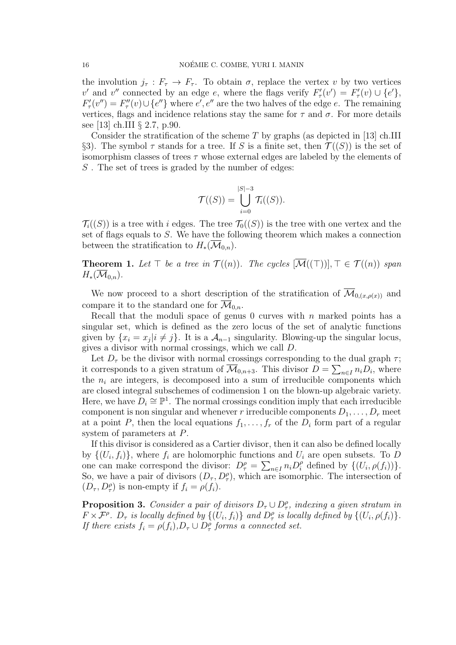the involution  $j_{\tau}: F_{\tau} \to F_{\tau}$ . To obtain  $\sigma$ , replace the vertex v by two vertices v' and v'' connected by an edge e, where the flags verify  $F'_{\tau}(v') = F'_{\tau}(v) \cup \{e'\},\$  $F'_{\tau}(v'') = F''_{\tau}(v) \cup \{e''\}$  where  $e', e''$  are the two halves of the edge e. The remaining vertices, flags and incidence relations stay the same for  $\tau$  and  $\sigma$ . For more details see [13] ch.III § 2.7, p.90.

Consider the stratification of the scheme  $T$  by graphs (as depicted in [13] ch.III §3). The symbol  $\tau$  stands for a tree. If S is a finite set, then  $\mathcal{T}((S))$  is the set of isomorphism classes of trees  $\tau$  whose external edges are labeled by the elements of S. The set of trees is graded by the number of edges:

$$
\mathcal{T}((S)) = \bigcup_{i=0}^{|S|-3} \mathcal{T}_i((S)).
$$

 $\mathcal{T}_{i}((S))$  is a tree with i edges. The tree  $\mathcal{T}_{0}((S))$  is the tree with one vertex and the set of flags equals to S. We have the following theorem which makes a connection between the stratification to  $H_*(\mathcal{M}_{0,n})$ .

**Theorem 1.** Let  $\top$  be a tree in  $\mathcal{T}((n))$ . The cycles  $[\overline{\mathcal{M}}((\top))], \top \in \mathcal{T}((n))$  span  $H_*(\mathcal{M}_{0,n}).$ 

We now proceed to a short description of the stratification of  $\overline{\mathcal{M}}_{0,(x,\rho(x))}$  and compare it to the standard one for  $\mathcal{M}_{0,n}$ .

Recall that the moduli space of genus  $0$  curves with n marked points has a singular set, which is defined as the zero locus of the set of analytic functions given by  $\{x_i = x_j | i \neq j\}$ . It is a  $\mathcal{A}_{n-1}$  singularity. Blowing-up the singular locus, gives a divisor with normal crossings, which we call D.

Let  $D_{\tau}$  be the divisor with normal crossings corresponding to the dual graph  $\tau$ ; it corresponds to a given stratum of  $\overline{\mathcal{M}}_{0,n+3}$ . This divisor  $D = \sum_{n \in I} n_i D_i$ , where the  $n_i$  are integers, is decomposed into a sum of irreducible components which are closed integral subschemes of codimension 1 on the blown-up algebraic variety. Here, we have  $D_i \cong \mathbb{P}^1$ . The normal crossings condition imply that each irreducible component is non singular and whenever r irreducible components  $D_1, \ldots, D_r$  meet at a point P, then the local equations  $f_1, \ldots, f_r$  of the  $D_i$  form part of a regular system of parameters at P.

If this divisor is considered as a Cartier divisor, then it can also be defined locally by  $\{(U_i, f_i)\}\$ , where  $f_i$  are holomorphic functions and  $U_i$  are open subsets. To D one can make correspond the divisor:  $D_{\tau}^{\rho} = \sum_{n \in I} n_i D_i^{\rho}$  defined by  $\{(U_i, \rho(f_i))\}.$ So, we have a pair of divisors  $(D_{\tau}, D_{\tau}^{\rho})$ , which are isomorphic. The intersection of  $(D_{\tau}, D_{\tau}^{\rho})$  is non-empty if  $f_i = \rho(f_i)$ .

**Proposition 3.** Consider a pair of divisors  $D_{\tau} \cup D_{\tau}^{\rho}$ , indexing a given stratum in  $F \times \mathcal{F}^{\rho}$ .  $D_{\tau}$  is locally defined by  $\{(U_i, f_i)\}\$  and  $D_{\tau}^{\rho}$  is locally defined by  $\{(U_i, \rho(f_i)\})$ . If there exists  $f_i = \rho(f_i)$ ,  $D_{\tau} \cup D_{\tau}^{\rho}$  forms a connected set.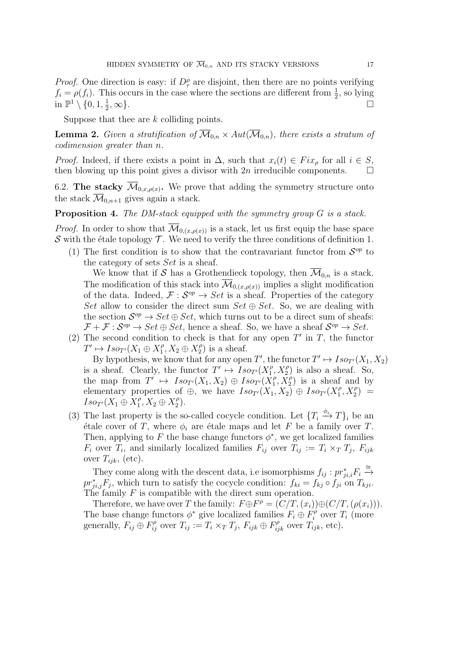*Proof.* One direction is easy: if  $D_{\tau}^{\rho}$  are disjoint, then there are no points verifying  $f_i = \rho(f_i)$ . This occurs in the case where the sections are different from  $\frac{1}{2}$ , so lying in  $\mathbb{P}^1 \setminus \{0, 1, \frac{1}{2}\}\$ 2 ,  $\infty$ }.

Suppose that thee are k colliding points.

**Lemma 2.** Given a stratification of  $\overline{\mathcal{M}}_{0,n} \times Aut(\overline{\mathcal{M}}_{0,n})$ , there exists a stratum of codimension greater than n.

*Proof.* Indeed, if there exists a point in  $\Delta$ , such that  $x_i(t) \in Fix_{\rho}$  for all  $i \in S$ , then blowing up this point gives a divisor with  $2n$  irreducible components.  $\Box$ 

6.2. The stacky  $\mathcal{M}_{0,x,\rho(x)}$ . We prove that adding the symmetry structure onto the stack  $\overline{\mathcal{M}}_{0,n+1}$  gives again a stack.

**Proposition 4.** The DM-stack equipped with the symmetry group  $G$  is a stack.

*Proof.* In order to show that  $\overline{\mathcal{M}}_{0,(x,\rho(x))}$  is a stack, let us first equip the base space S with the étale topology  $\mathcal T$ . We need to verify the three conditions of definition 1.

(1) The first condition is to show that the contravariant functor from  $S^{op}$  to the category of sets Set is a sheaf.

We know that if S has a Grothendieck topology, then  $\overline{\mathcal{M}}_{0,n}$  is a stack. The modification of this stack into  $\overline{\mathcal{M}}_{0,(x,\rho(x))}$  implies a slight modification of the data. Indeed,  $\mathcal{F}: \mathcal{S}^{op} \to Set$  is a sheaf. Properties of the category Set allow to consider the direct sum  $Set \oplus Set$ . So, we are dealing with the section  $S^{op} \to Set \oplus Set$ , which turns out to be a direct sum of sheafs:  $\mathcal{F} + \mathcal{F} : \mathcal{S}^{op} \to Set \oplus Set$ , hence a sheaf. So, we have a sheaf  $\mathcal{S}^{op} \to Set$ .

(2) The second condition to check is that for any open  $T'$  in  $T$ , the functor  $T' \mapsto Iso_{T'}(X_1 \oplus X_1^{\rho})$  $X_1^{\rho}, X_2 \oplus X_2^{\rho}$  $2^{\rho}$ ) is a sheaf.

By hypothesis, we know that for any open T', the functor  $T' \mapsto Iso_{T'}(X_1, X_2)$ is a sheaf. Clearly, the functor  $T' \mapsto Iso_{T'}(X_1^{\rho})$  $T_1^{\rho}, X_2^{\rho}$  is also a sheaf. So, the map from  $T' \mapsto Iso_{T'}(X_1, X_2) \oplus Iso_{T'}(X_1^{\rho})$  $\overline{X}_1^{\rho}, \overline{X}_2^{\rho}$  is a sheaf and by elementary properties of  $\oplus$ , we have  $Iso_{T'}(X_1, X_2) \oplus Iso_{T'}(X_1^{\rho})$  $T_1^{\rho}, X_2^{\rho}) =$  $Iso_{T'}(X_1 \oplus X_1^{\rho})$  $\overline{A_1}$ ,  $X_2 \oplus X_2^{\rho}$  $\binom{\rho}{2}$ .

(3) The last property is the so-called cocycle condition. Let  $\{T_i \stackrel{\phi_i}{\to} T\}_i$  be an étale cover of T, where  $\phi_i$  are étale maps and let F be a family over T. Then, applying to F the base change functors  $\phi^*$ , we get localized families  $F_i$  over  $T_i$ , and similarly localized families  $F_{ij}$  over  $T_{ij} := T_i \times_T T_j$ ,  $F_{ijk}$ over  $T_{ijk}$ , (etc).

They come along with the descent data, i.e isomorphisms  $f_{ij} : pr_{ji,i}^* F_i \stackrel{\cong}{\rightarrow}$  $pr_{ji,j}^*F_j$ , which turn to satisfy the cocycle condition:  $f_{ki} = f_{kj} \circ f_{ji}$  on  $T_{kji}$ . The family  $F$  is compatible with the direct sum operation.

Therefore, we have over T the family:  $F \oplus F^{\rho} = (C/T, (x_i)) \oplus (C/T, (\rho(x_i))).$ The base change functors  $\phi^*$  give localized families  $F_i \oplus F_i^{\phi}$  $C_i^{\rho}$  over  $T_i$  (more generally,  $F_{ij} \oplus F_{ij}^{\rho}$  over  $T_{ij} := T_i \times_T T_j$ ,  $F_{ijk} \oplus F_{ijk}^{\rho}$  over  $T_{ijk}$ , etc).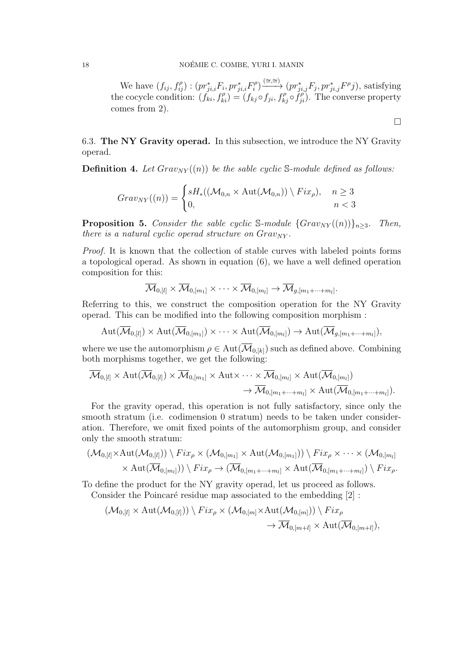We have  $(f_{ij}, f_{ij}^{\rho})$  :  $(pr_{ji,i}^*F_i, pr_{ji,i}^*F_i^{\rho})$  $\widehat{p}_i^{\rho}$   $\stackrel{(\cong,\cong)}{\longrightarrow}$   $(pr_{ji,j}^*F_j, pr_{ji,j}^*F^{\rho}j)$ , satisfying the cocycle condition:  $(f_{ki}, f_{ki}^{\rho}) = (f_{kj} \circ f_{ji}, f_{kj}^{\rho} \circ f_{ji}^{\rho})$ . The converse property comes from 2).

 $\Box$ 

6.3. The NY Gravity operad. In this subsection, we introduce the NY Gravity operad.

**Definition 4.** Let  $Graw_{NY}((n))$  be the sable cyclic S-module defined as follows:

$$
Graw_{NY}((n)) = \begin{cases} sH_*((\mathcal{M}_{0,n} \times \text{Aut}(\mathcal{M}_{0,n})) \setminus Fix_\rho), & n \ge 3\\ 0, & n < 3 \end{cases}
$$

**Proposition 5.** Consider the sable cyclic S-module  $\{Graw_{NY}((n)\}_{n\geq3}$ . Then, there is a natural cyclic operad structure on  $Graw_{NY}$ .

Proof. It is known that the collection of stable curves with labeled points forms a topological operad. As shown in equation (6), we have a well defined operation composition for this:

$$
\overline{\mathcal{M}}_{0,[l]}\times \overline{\mathcal{M}}_{0,[m_1]}\times \cdots \times \overline{\mathcal{M}}_{0,[m_l]}\rightarrow \overline{\mathcal{M}}_{g,[m_1+\cdots+m_l]}.
$$

Referring to this, we construct the composition operation for the NY Gravity operad. This can be modified into the following composition morphism :

$$
\operatorname{Aut}(\overline{\mathcal{M}}_{0,[l]})\times\operatorname{Aut}(\overline{\mathcal{M}}_{0,[m_1]})\times\cdots\times\operatorname{Aut}(\overline{\mathcal{M}}_{0,[m_l]})\to\operatorname{Aut}(\overline{\mathcal{M}}_{g,[m_1+\cdots+m_l]}),
$$

where we use the automorphism  $\rho \in Aut(\overline{\mathcal{M}}_{0,[k]})$  such as defined above. Combining both morphisms together, we get the following:

$$
\overline{\mathcal{M}}_{0,[l]} \times \mathrm{Aut}(\overline{\mathcal{M}}_{0,[l]}) \times \overline{\mathcal{M}}_{0,[m_1]} \times \mathrm{Aut} \times \cdots \times \overline{\mathcal{M}}_{0,[m_l]} \times \mathrm{Aut}(\overline{\mathcal{M}}_{0,[m_l]})
$$

$$
\rightarrow \overline{\mathcal{M}}_{0,[m_1+\cdots+m_l]} \times \mathrm{Aut}(\overline{\mathcal{M}}_{0,[m_1+\cdots+m_l]}).
$$

For the gravity operad, this operation is not fully satisfactory, since only the smooth stratum (i.e. codimension 0 stratum) needs to be taken under consideration. Therefore, we omit fixed points of the automorphism group, and consider only the smooth stratum:

$$
(\mathcal{M}_{0,[l]} \times \mathrm{Aut}(\mathcal{M}_{0,[l]})) \setminus Fix_{\rho} \times (\mathcal{M}_{0,[m_1]} \times \mathrm{Aut}(\mathcal{M}_{0,[m_1]})) \setminus Fix_{\rho} \times \cdots \times (\mathcal{M}_{0,[m_l]}\times \mathrm{Aut}(\overline{\mathcal{M}}_{0,[m_l]})) \setminus Fix_{\rho} \to (\overline{\mathcal{M}}_{0,[m_1+\cdots+m_l]} \times \mathrm{Aut}(\overline{\mathcal{M}}_{0,[m_1+\cdots+m_l]}) \setminus Fix_{\rho}.
$$

To define the product for the NY gravity operad, let us proceed as follows. Consider the Poincaré residue map associated to the embedding  $[2]$ :

$$
(\mathcal{M}_{0,[l]}\times \mathrm{Aut}(\mathcal{M}_{0,[l]}))\setminus Fix_{\rho}\times (\mathcal{M}_{0,[m]}\times \mathrm{Aut}(\mathcal{M}_{0,[m]}))\setminus Fix_{\rho}\to \overline{\mathcal{M}}_{0,[m+l]}\times \mathrm{Aut}(\overline{\mathcal{M}}_{0,[m+l]}),
$$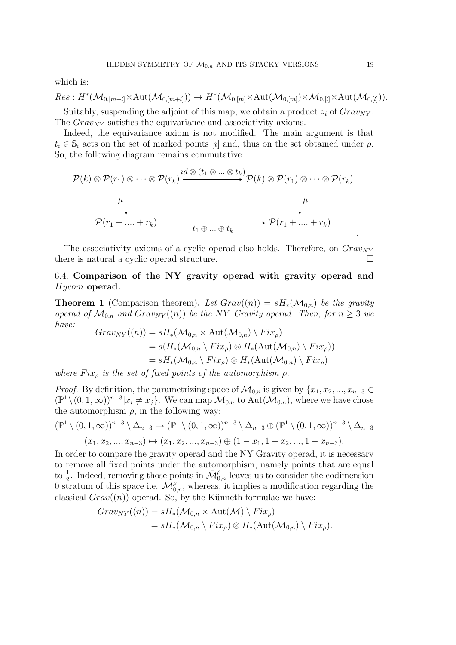which is:

$$
Res: H^*(\mathcal{M}_{0,[m+l]} \times \mathrm{Aut}(\mathcal{M}_{0,[m+l]})) \to H^*(\mathcal{M}_{0,[m]} \times \mathrm{Aut}(\mathcal{M}_{0,[m]}) \times \mathcal{M}_{0,[l]} \times \mathrm{Aut}(\mathcal{M}_{0,[l]})).
$$

Suitably, suspending the adjoint of this map, we obtain a product  $\circ_i$  of  $Grav_{NY}$ . The  $Grav_{NY}$  satisfies the equivariance and associativity axioms.

Indeed, the equivariance axiom is not modified. The main argument is that  $t_i \in \mathbb{S}_i$  acts on the set of marked points [i] and, thus on the set obtained under  $\rho$ . So, the following diagram remains commutative:

$$
\mathcal{P}(k) \otimes \mathcal{P}(r_1) \otimes \cdots \otimes \mathcal{P}(r_k) \xrightarrow{id \otimes (t_1 \otimes \cdots \otimes t_k)} \mathcal{P}(k) \otimes \mathcal{P}(r_1) \otimes \cdots \otimes \mathcal{P}(r_k)
$$
\n
$$
\downarrow \qquad \qquad \downarrow \qquad \qquad \downarrow \qquad \qquad \downarrow \qquad \qquad \downarrow \qquad \qquad \downarrow \qquad \qquad \downarrow \qquad \qquad \mathcal{P}(r_1 + \cdots + r_k) \qquad \qquad \downarrow \qquad \qquad \downarrow \qquad \mathcal{P}(r_1 + \cdots + r_k)
$$

The associativity axioms of a cyclic operad also holds. Therefore, on  $Graw_{NY}$ there is natural a cyclic operad structure.

# 6.4. Comparison of the NY gravity operad with gravity operad and Hycom operad.

**Theorem 1** (Comparison theorem). Let  $Graw(n) = sH_*(\mathcal{M}_{0,n})$  be the gravity operad of  $\mathcal{M}_{0,n}$  and  $Graw_{NY}((n))$  be the NY Gravity operad. Then, for  $n \geq 3$  we have:

$$
Graw_{NY}((n)) = sH_{*}(\mathcal{M}_{0,n} \times \text{Aut}(\mathcal{M}_{0,n}) \setminus Fix_{\rho})
$$
  
=  $s(H_{*}(\mathcal{M}_{0,n} \setminus Fix_{\rho}) \otimes H_{*}(\text{Aut}(\mathcal{M}_{0,n}) \setminus Fix_{\rho}))$   
=  $sH_{*}(\mathcal{M}_{0,n} \setminus Fix_{\rho}) \otimes H_{*}(\text{Aut}(\mathcal{M}_{0,n}) \setminus Fix_{\rho})$ 

where  $Fix_{\rho}$  is the set of fixed points of the automorphism  $\rho$ .

*Proof.* By definition, the parametrizing space of  $\mathcal{M}_{0,n}$  is given by  $\{x_1, x_2, ..., x_{n-3} \in$  $(\mathbb{P}^1 \setminus (0,1,\infty))^{n-3} | x_i \neq x_j \}.$  We can map  $\mathcal{M}_{0,n}$  to  $\mathrm{Aut}(\mathcal{M}_{0,n})$ , where we have chose the automorphism  $\rho$ , in the following way:

$$
(\mathbb{P}^1 \setminus (0, 1, \infty))^{n-3} \setminus \Delta_{n-3} \to (\mathbb{P}^1 \setminus (0, 1, \infty))^{n-3} \setminus \Delta_{n-3} \oplus (\mathbb{P}^1 \setminus (0, 1, \infty))^{n-3} \setminus \Delta_{n-3}
$$

$$
(x_1, x_2, ..., x_{n-3}) \mapsto (x_1, x_2, ..., x_{n-3}) \oplus (1 - x_1, 1 - x_2, ..., 1 - x_{n-3}).
$$

In order to compare the gravity operad and the NY Gravity operad, it is necessary to remove all fixed points under the automorphism, namely points that are equal to  $\frac{1}{2}$ . Indeed, removing those points in  $\bar{\mathcal{M}}_{0,n}^{\rho}$  leaves us to consider the codimension 0 stratum of this space i.e.  $\mathcal{M}_{0,n}^{\rho}$ , whereas, it implies a modification regarding the classical  $Grav((n))$  operad. So, by the Künneth formulae we have:

$$
Graw_{NY}((n)) = sH_*(\mathcal{M}_{0,n} \times \text{Aut}(\mathcal{M}) \setminus Fix_\rho)
$$
  
=  $sH_*(\mathcal{M}_{0,n} \setminus Fix_\rho) \otimes H_*(\text{Aut}(\mathcal{M}_{0,n}) \setminus Fix_\rho).$ 

.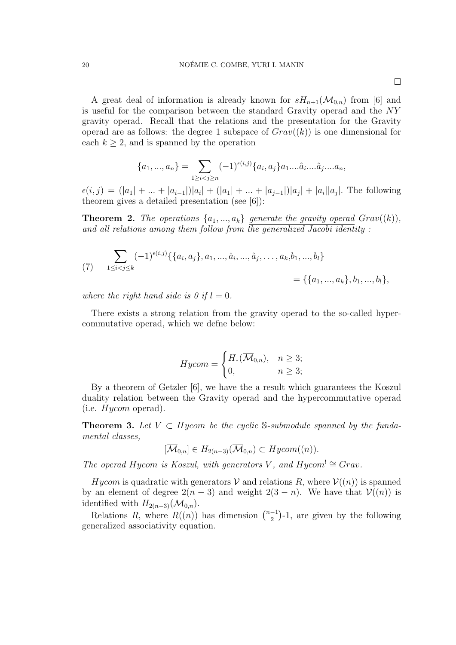$\Box$ 

A great deal of information is already known for  $sH_{n+1}(\mathcal{M}_{0,n})$  from [6] and is useful for the comparison between the standard Gravity operad and the NY gravity operad. Recall that the relations and the presentation for the Gravity operad are as follows: the degree 1 subspace of  $Graw((k))$  is one dimensional for each  $k \geq 2$ , and is spanned by the operation

$$
\{a_1, ..., a_n\} = \sum_{1 \ge i < j \ge n} (-1)^{\epsilon(i,j)} \{a_i, a_j\} a_1 ... a_i ... a_j ... a_n,
$$

 $\epsilon(i,j) = (|a_1| + ... + |a_{i-1}|)|a_i| + (|a_1| + ... + |a_{j-1}|)|a_j| + |a_i||a_j|$ . The following theorem gives a detailed presentation (see [6]):

**Theorem 2.** The operations  $\{a_1, ..., a_k\}$  generate the gravity operad  $Graw((k)),$ and all relations among them follow from the generalized Jacobi identity :

(7) 
$$
\sum_{1 \leq i < j \leq k} (-1)^{\epsilon(i,j)} \{ \{a_i, a_j\}, a_1, \dots, \hat{a}_i, \dots, \hat{a}_j, \dots, a_k, b_1, \dots, b_l \} = \{ \{a_1, \dots, a_k\}, b_1, \dots, b_l \},
$$

where the right hand side is 0 if  $l = 0$ .

There exists a strong relation from the gravity operad to the so-called hypercommutative operad, which we defne below:

$$
Hycom = \begin{cases} H_*(\overline{\mathcal{M}}_{0,n}), & n \ge 3; \\ 0, & n \ge 3; \end{cases}
$$

By a theorem of Getzler [6], we have the a result which guarantees the Koszul duality relation between the Gravity operad and the hypercommutative operad (i.e.  $Hycom$  operad).

**Theorem 3.** Let  $V \subset Hycom$  be the cyclic S-submodule spanned by the fundamental classes,

$$
[\overline{\mathcal{M}}_{0,n}] \in H_{2(n-3)}(\overline{\mathcal{M}}_{0,n}) \subset Hycom((n)).
$$

The operad Hycom is Koszul, with generators V, and Hycom<sup>!</sup>  $\cong$  Grav.

Hycom is quadratic with generators V and relations R, where  $V((n))$  is spanned by an element of degree  $2(n-3)$  and weight  $2(3-n)$ . We have that  $\mathcal{V}((n))$  is identified with  $H_{2(n-3)}(\mathcal{M}_{0,n})$ .

Relations R, where  $R((n))$  has dimension  $\binom{n-1}{2}$  $\binom{-1}{2}$ -1, are given by the following generalized associativity equation.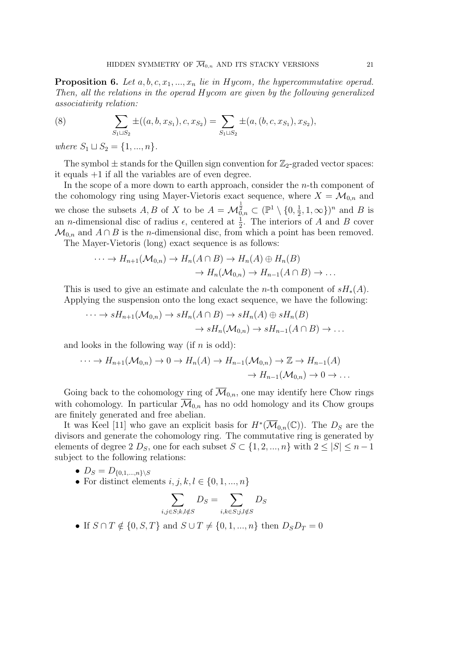**Proposition 6.** Let  $a, b, c, x_1, ..., x_n$  lie in Hycom, the hypercommutative operad. Then, all the relations in the operad Hycom are given by the following generalized associativity relation:

(8) 
$$
\sum_{S_1 \sqcup S_2} \pm ((a, b, x_{S_1}), c, x_{S_2}) = \sum_{S_1 \sqcup S_2} \pm (a, (b, c, x_{S_1}), x_{S_2}),
$$

where  $S_1 \sqcup S_2 = \{1, ..., n\}.$ 

The symbol  $\pm$  stands for the Quillen sign convention for  $\mathbb{Z}_2$ -graded vector spaces: it equals +1 if all the variables are of even degree.

In the scope of a more down to earth approach, consider the  $n$ -th component of the cohomology ring using Mayer-Vietoris exact sequence, where  $X = \mathcal{M}_{0,n}$  and we chose the subsets  $A, B$  of X to be  $A = \mathcal{M}_{0,n}^{\frac{1}{2}} \subset (\mathbb{P}^1 \setminus \{0, \frac{1}{2})$  $(\frac{1}{2}, 1, \infty)$ <sup>n</sup> and *B* is an *n*-dimensional disc of radius  $\epsilon$ , centered at  $\frac{1}{2}$ . The interiors of A and B cover  $\mathcal{M}_{0,n}$  and  $A \cap B$  is the *n*-dimensional disc, from which a point has been removed.

The Mayer-Vietoris (long) exact sequence is as follows:

$$
\cdots \to H_{n+1}(\mathcal{M}_{0,n}) \to H_n(A \cap B) \to H_n(A) \oplus H_n(B)
$$
  

$$
\to H_n(\mathcal{M}_{0,n}) \to H_{n-1}(A \cap B) \to \dots
$$

This is used to give an estimate and calculate the *n*-th component of  $sH_*(A)$ . Applying the suspension onto the long exact sequence, we have the following:

$$
\cdots \to sH_{n+1}(\mathcal{M}_{0,n}) \to sH_n(A \cap B) \to sH_n(A) \oplus sH_n(B)
$$
  

$$
\to sH_n(\mathcal{M}_{0,n}) \to sH_{n-1}(A \cap B) \to \dots
$$

and looks in the following way (if  $n$  is odd):

$$
\cdots \to H_{n+1}(\mathcal{M}_{0,n}) \to 0 \to H_n(A) \to H_{n-1}(\mathcal{M}_{0,n}) \to \mathbb{Z} \to H_{n-1}(A)
$$

$$
\to H_{n-1}(\mathcal{M}_{0,n}) \to 0 \to \dots
$$

Going back to the cohomology ring of  $\overline{\mathcal{M}}_{0,n}$ , one may identify here Chow rings with cohomology. In particular  $\overline{\mathcal{M}}_{0,n}$  has no odd homology and its Chow groups are finitely generated and free abelian.

It was Keel [11] who gave an explicit basis for  $H^*(\overline{\mathcal{M}}_{0,n}(\mathbb{C}))$ . The  $D_S$  are the divisors and generate the cohomology ring. The commutative ring is generated by elements of degree 2  $D_S$ , one for each subset  $S \subset \{1, 2, ..., n\}$  with  $2 \leq |S| \leq n - 1$ subject to the following relations:

- $D_S = D_{\{0,1,...,n\}\setminus S}$
- For distinct elements  $i, j, k, l \in \{0, 1, ..., n\}$

$$
\sum_{i,j \in S; k,l \notin S} D_S = \sum_{i,k \in S; j,l \notin S} D_S
$$

• If  $S \cap T \notin \{0, S, T\}$  and  $S \cup T \neq \{0, 1, ..., n\}$  then  $D_S D_T = 0$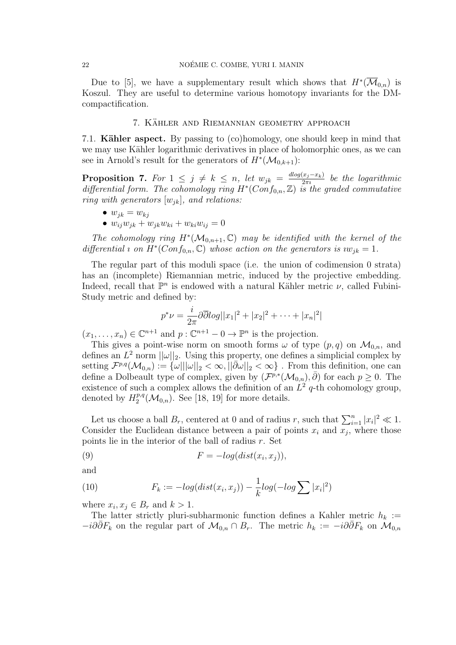Due to [5], we have a supplementary result which shows that  $H^*(\overline{\mathcal{M}}_{0,n})$  is Koszul. They are useful to determine various homotopy invariants for the DMcompactification.

#### 7. KÄHLER AND RIEMANNIAN GEOMETRY APPROACH

7.1. **Kähler aspect.** By passing to (co)homology, one should keep in mind that we may use Kähler logarithmic derivatives in place of holomorphic ones, as we can see in Arnold's result for the generators of  $H^*(\mathcal{M}_{0,k+1})$ :

**Proposition 7.** For  $1 \leq j \neq k \leq n$ , let  $w_{jk} = \frac{dlog(x_j - x_k)}{2\pi i}$  $\frac{(x_j - x_k)}{2\pi i}$  be the logarithmic differential form. The cohomology ring  $H^*(Conf_{0,n}, \mathbb{Z})$  is the graded commutative ring with generators  $[w_{ik}]$ , and relations:

- $w_{ik} = w_{ki}$
- $w_{ij}w_{jk} + w_{jk}w_{ki} + w_{ki}w_{ij} = 0$

The cohomology ring  $H^*(\mathcal{M}_{0,n+1}, \mathbb{C})$  may be identified with the kernel of the differential *i* on  $H^*(Conf_{0,n}, \mathbb{C})$  whose action on the generators is  $iw_{jk} = 1$ .

The regular part of this moduli space (i.e. the union of codimension 0 strata) has an (incomplete) Riemannian metric, induced by the projective embedding. Indeed, recall that  $\mathbb{P}^n$  is endowed with a natural Kähler metric  $\nu$ , called Fubini-Study metric and defined by:

$$
p^*\nu = \frac{i}{2\pi}\partial\overline{\partial}\log||x_1|^2 + |x_2|^2 + \dots + |x_n|^2|
$$

 $(x_1, \ldots, x_n) \in \mathbb{C}^{n+1}$  and  $p: \mathbb{C}^{n+1} \to 0 \to \mathbb{P}^n$  is the projection.

This gives a point-wise norm on smooth forms  $\omega$  of type  $(p,q)$  on  $\mathcal{M}_{0,n}$ , and defines an  $L^2$  norm  $||\omega||_2$ . Using this property, one defines a simplicial complex by setting  $\mathcal{F}^{p,q}(\mathcal{M}_{0,n}) := \{\omega|||\omega||_2 < \infty, ||\bar{\partial}\omega||_2 < \infty\}$ . From this definition, one can define a Dolbeault type of complex, given by  $(\mathcal{F}^{p,*}(\mathcal{M}_{0,n}), \bar{\partial})$  for each  $p \geq 0$ . The existence of such a complex allows the definition of an  $L^2$  q-th cohomology group, denoted by  $H_2^{p,q}$  $2^{p,q}(\mathcal{M}_{0,n})$ . See [18, 19] for more details.

Let us choose a ball  $B_r$ , centered at 0 and of radius r, such that  $\sum_{i=1}^n |x_i|^2 \ll 1$ . Consider the Euclidean distance between a pair of points  $x_i$  and  $x_j$ , where those points lie in the interior of the ball of radius r. Set

(9) 
$$
F = -log(dist(x_i, x_j)),
$$

and

(10) 
$$
F_k := -\log(\text{dist}(x_i, x_j)) - \frac{1}{k}\log(-\log \sum |x_i|^2)
$$

where  $x_i, x_j \in B_r$  and  $k > 1$ .

The latter strictly pluri-subharmonic function defines a Kahler metric  $h_k :=$  $-i\partial \bar{\partial} F_k$  on the regular part of  $\mathcal{M}_{0,n} \cap B_r$ . The metric  $h_k := -i\partial \bar{\partial} F_k$  on  $\mathcal{M}_{0,n}$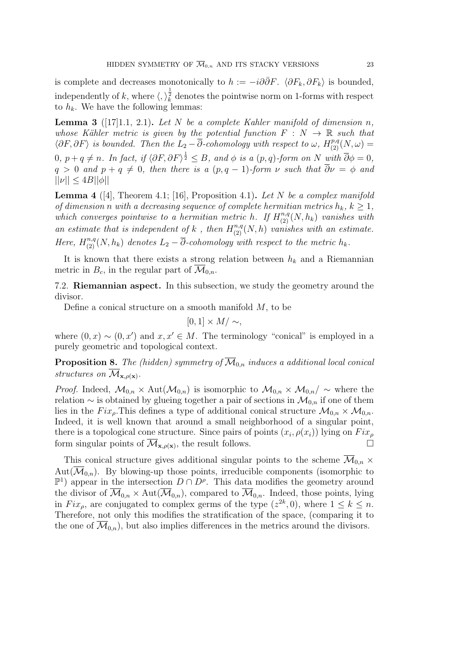is complete and decreases monotonically to  $h := -i\partial \overline{\partial} F$ .  $\langle \partial F_k, \partial F_k \rangle$  is bounded, independently of k, where  $\langle,\rangle_k^{\frac{1}{2}}$  denotes the pointwise norm on 1-forms with respect to  $h_k$ . We have the following lemmas:

**Lemma 3** ([17]1.1, 2.1). Let N be a complete Kahler manifold of dimension n, whose Kähler metric is given by the potential function  $F : N \to \mathbb{R}$  such that  $\langle \partial F, \partial F \rangle$  is bounded. Then the  $L_2 - \overline{\partial}$ -cohomology with respect to  $\omega$ ,  $H^{p,q}_{(2)}(N,\omega) =$  $0, p+q \neq n$ . In fact, if  $\langle \partial F, \partial F \rangle^{\frac{1}{2}} \leq B$ , and  $\phi$  is a  $(p,q)$ -form on N with  $\overline{\partial} \phi = 0$ ,  $q > 0$  and  $p + q \neq 0$ , then there is a  $(p, q - 1)$ -form  $\nu$  such that  $\overline{\partial}\nu = \phi$  and  $||\nu|| < 4B||\phi||$ 

**Lemma 4** ([4], Theorem 4.1; [16], Proposition 4.1). Let N be a complex manifold of dimension n with a decreasing sequence of complete hermitian metrics  $h_k$ ,  $k \geq 1$ , which converges pointwise to a hermitian metric h. If  $H_{(2)}^{n,q}(N,h_k)$  vanishes with an estimate that is independent of k, then  $H_{(2)}^{n,q}(N,h)$  vanishes with an estimate. Here,  $H_{(2)}^{n,q}(N,h_k)$  denotes  $L_2 - \overline{\partial}$ -cohomology with respect to the metric  $h_k$ .

It is known that there exists a strong relation between  $h_k$  and a Riemannian metric in  $B_c$ , in the regular part of  $\mathcal{M}_{0,n}$ .

7.2. Riemannian aspect. In this subsection, we study the geometry around the divisor.

Define a conical structure on a smooth manifold  $M$ , to be

$$
[0,1] \times M/\sim,
$$

where  $(0, x) \sim (0, x')$  and  $x, x' \in M$ . The terminology "conical" is employed in a purely geometric and topological context.

**Proposition 8.** The (hidden) symmetry of  $\overline{\mathcal{M}}_{0,n}$  induces a additional local conical structures on  $\mathcal{M}_{\mathbf{x},\rho(\mathbf{x})}$ .

*Proof.* Indeed,  $\mathcal{M}_{0,n} \times \text{Aut}(\mathcal{M}_{0,n})$  is isomorphic to  $\mathcal{M}_{0,n} \times \mathcal{M}_{0,n}$  ~ where the relation  $\sim$  is obtained by glueing together a pair of sections in  $\mathcal{M}_{0,n}$  if one of them lies in the  $Fix_{\rho}$ . This defines a type of additional conical structure  $\mathcal{M}_{0,n} \times \mathcal{M}_{0,n}$ . Indeed, it is well known that around a small neighborhood of a singular point, there is a topological cone structure. Since pairs of points  $(x_i, \rho(x_i))$  lying on  $Fix_\rho$ form singular points of  $\overline{\mathcal{M}}_{\mathbf{x},\rho(\mathbf{x})}$ , the result follows.

This conical structure gives additional singular points to the scheme  $\overline{\mathcal{M}}_{0,n}$  × Aut $(\overline{\mathcal{M}}_{0,n})$ . By blowing-up those points, irreducible components (isomorphic to  $\mathbb{P}^1$ ) appear in the intersection  $D \cap D^{\rho}$ . This data modifies the geometry around the divisor of  $\overline{\mathcal{M}}_{0,n}$  × Aut $(\overline{\mathcal{M}}_{0,n})$ , compared to  $\overline{\mathcal{M}}_{0,n}$ . Indeed, those points, lying in  $Fix_{\rho}$ , are conjugated to complex germs of the type  $(z^{2k},0)$ , where  $1 \leq k \leq n$ . Therefore, not only this modifies the stratification of the space, (comparing it to the one of  $\overline{\mathcal{M}}_{0,n}$ , but also implies differences in the metrics around the divisors.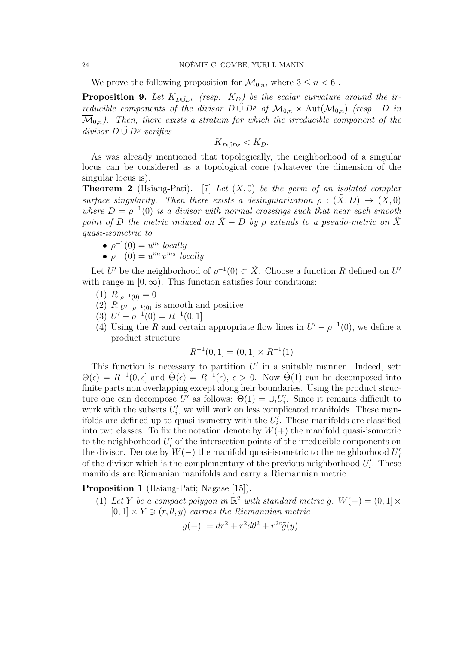#### 24 NOÉMIE C. COMBE, YURI I. MANIN

We prove the following proposition for  $\overline{\mathcal{M}}_{0,n}$ , where  $3 \leq n \leq 6$ .

**Proposition 9.** Let  $K_{D\tilde{\cup}D\rho}$  (resp.  $K_D$ ) be the scalar curvature around the irreducible components of the divisor  $D \cup D^{\rho}$  of  $\overline{\mathcal{M}}_{0,n} \times \text{Aut}(\overline{\mathcal{M}}_{0,n})$  (resp. D in  $\overline{\mathcal{M}}_{0,n}$ ). Then, there exists a stratum for which the irreducible component of the divisor  $D \cup D^{\rho}$  verifies

 $K_{\text{Dir}}$ 

As was already mentioned that topologically, the neighborhood of a singular locus can be considered as a topological cone (whatever the dimension of the singular locus is).

**Theorem 2** (Hsiang-Pati). [7] Let  $(X, 0)$  be the germ of an isolated complex surface singularity. Then there exists a desingularization  $\rho : (X, D) \to (X, 0)$ where  $D = \rho^{-1}(0)$  is a divisor with normal crossings such that near each smooth point of D the metric induced on  $\tilde{X}$  − D by  $\rho$  extends to a pseudo-metric on  $\tilde{X}$ quasi-isometric to

$$
\bullet \ \rho^{-1}(0) = u^m \ locally
$$

$$
\bullet \ \rho^{-1}(0) = u^{m_1}v^{m_2} \ locally
$$

Let U' be the neighborhood of  $\rho^{-1}(0) \subset \tilde{X}$ . Choose a function R defined on U' with range in  $[0, \infty)$ . This function satisfies four conditions:

- (1)  $R|_{\rho^{-1}(0)} = 0$
- (2)  $R|_{U'-\rho^{-1}(0)}$  is smooth and positive
- (3)  $U' \rho^{-1}(0) = R^{-1}(0, 1)$
- (4) Using the R and certain appropriate flow lines in  $U' \rho^{-1}(0)$ , we define a product structure

$$
R^{-1}(0,1] = (0,1] \times R^{-1}(1)
$$

This function is necessary to partition  $U'$  in a suitable manner. Indeed, set:  $\Theta(\epsilon) = R^{-1}(0, \epsilon]$  and  $\dot{\Theta}(\epsilon) = R^{-1}(\epsilon), \epsilon > 0$ . Now  $\dot{\Theta}(1)$  can be decomposed into finite parts non overlapping except along heir boundaries. Using the product structure one can decompose U' as follows:  $\Theta(1) = \bigcup_i U'_i$ . Since it remains difficult to work with the subsets  $U_i'$ , we will work on less complicated manifolds. These manifolds are defined up to quasi-isometry with the  $U_i'$ . These manifolds are classified into two classes. To fix the notation denote by  $W(+)$  the manifold quasi-isometric to the neighborhood  $U_i'$  of the intersection points of the irreducible components on the divisor. Denote by  $W(-)$  the manifold quasi-isometric to the neighborhood  $U_j'$ of the divisor which is the complementary of the previous neighborhood  $U_i'$ . These manifolds are Riemanian manifolds and carry a Riemannian metric.

Proposition 1 (Hsiang-Pati; Nagase [15]).

(1) Let Y be a compact polygon in  $\mathbb{R}^2$  with standard metric  $\tilde{g}$ .  $W(-) = (0,1] \times$  $[0, 1] \times Y \ni (r, \theta, y)$  carries the Riemannian metric

$$
g(-) := dr^2 + r^2 d\theta^2 + r^{2c} \tilde{g}(y).
$$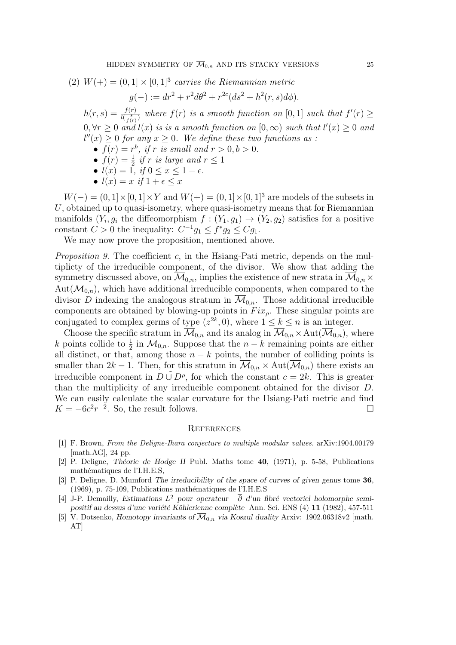(2) 
$$
W(+) = (0,1] \times [0,1]^3
$$
 carries the Riemannian metric

$$
g(-) := dr^{2} + r^{2}d\theta^{2} + r^{2c}(ds^{2} + h^{2}(r, s)d\phi).
$$

 $h(r, s) = \frac{f(r)}{l(\frac{s}{f(r)})}$  where  $f(r)$  is a smooth function on [0, 1] such that  $f'(r) \geq$  $0, \forall r \geq 0$  and  $l(x)$  is is a smooth function on  $[0, \infty)$  such that  $l'(x) \geq 0$  and  $l''(x) \geq 0$  for any  $x \geq 0$ . We define these two functions as :

- $f(r) = r^b$ , if r is small and  $r > 0, b > 0$ .
- $f(r) = \frac{1}{2}$  if r is large and  $r \leq 1$
- $l(x) = 1$ , if  $0 \le x \le 1 \epsilon$ .
- $l(x) = x$  if  $1 + \epsilon \leq x$

 $W(-) = (0, 1] \times [0, 1] \times Y$  and  $W(+) = (0, 1] \times [0, 1]$ <sup>3</sup> are models of the subsets in  $U$ , obtained up to quasi-isometry, where quasi-isometry means that for Riemannian manifolds  $(Y_i, g_i)$  the diffeomorphism  $f : (Y_1, g_1) \to (Y_2, g_2)$  satisfies for a positive constant  $C > 0$  the inequality:  $C^{-1}g_1 \leq f^*g_2 \leq Cg_1$ .

We may now prove the proposition, mentioned above.

Proposition 9. The coefficient c, in the Hsiang-Pati metric, depends on the multiplicty of the irreducible component, of the divisor. We show that adding the symmetry discussed above, on  $\mathcal{M}_{0,n}$ , implies the existence of new strata in  $\mathcal{M}_{0,n}$  ×  $Aut(\overline{\mathcal{M}}_{0,n})$ , which have additional irreducible components, when compared to the divisor D indexing the analogous stratum in  $\overline{\mathcal{M}}_{0,n}$ . Those additional irreducible components are obtained by blowing-up points in  $Fix_{\rho}$ . These singular points are conjugated to complex germs of type  $(z^{2k}, 0)$ , where  $1 \leq k \leq n$  is an integer.

Choose the specific stratum in  $\overline{\mathcal{M}}_{0,n}$  and its analog in  $\overline{\mathcal{M}}_{0,n}$  × Aut $(\overline{\mathcal{M}}_{0,n})$ , where k points collide to  $\frac{1}{2}$  in  $\mathcal{M}_{0,n}$ . Suppose that the  $n-k$  remaining points are either all distinct, or that, among those  $n - k$  points, the number of colliding points is smaller than  $2k - 1$ . Then, for this stratum in  $\overline{\mathcal{M}}_{0,n} \times \text{Aut}(\overline{\mathcal{M}}_{0,n})$  there exists an irreducible component in  $D \cup D^{\rho}$ , for which the constant  $c = 2k$ . This is greater than the multiplicity of any irreducible component obtained for the divisor D. We can easily calculate the scalar curvature for the Hsiang-Pati metric and find  $K = -6c^2r^{-2}$ . So, the result follows.

#### **REFERENCES**

- [1] F. Brown, From the Deligne-Ihara conjecture to multiple modular values. arXiv:1904.00179 [math.AG], 24 pp.
- [2] P. Deligne, Th´eorie de Hodge II Publ. Maths tome 40, (1971), p. 5-58, Publications mathématiques de l'I.H.E.S,
- [3] P. Deligne, D. Mumford The irreducibility of the space of curves of given genus tome 36,  $(1969)$ , p. 75-109, Publications mathématiques de l'I.H.E.S
- [4] J-P. Demailly, Estimations  $L^2$  pour operateur  $-\overline{\partial}$  d'un fibré vectoriel holomorphe semipositif au dessus d'une variété Kählerienne complète Ann. Sci. ENS (4) 11 (1982), 457-511
- [5] V. Dotsenko, Homotopy invariants of  $\overline{\mathcal{M}}_{0,n}$  via Koszul duality Arxiv: 1902.06318v2 [math. AT]